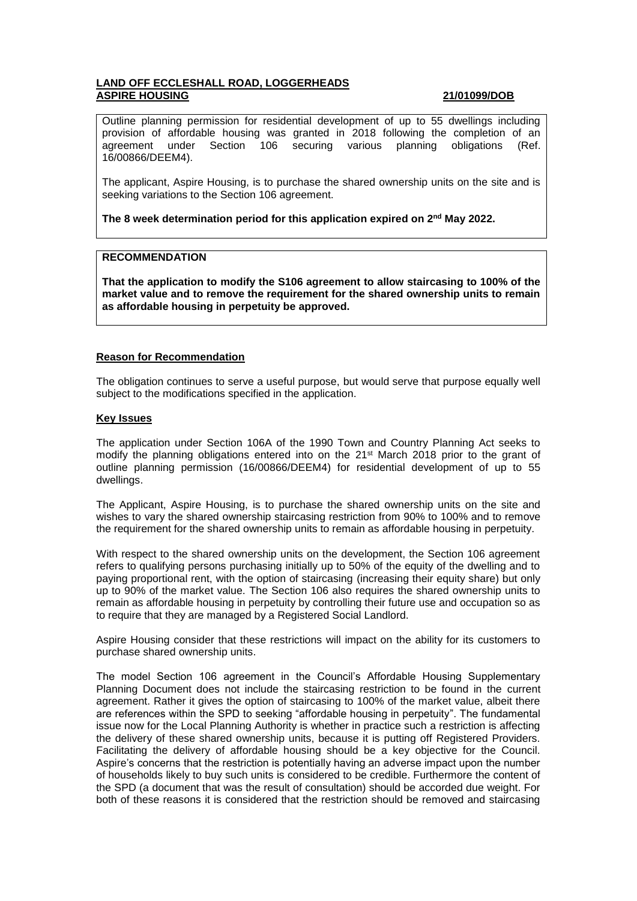# **LAND OFF ECCLESHALL ROAD, LOGGERHEADS ASPIRE HOUSING 21/01099/DOB**

Outline planning permission for residential development of up to 55 dwellings including provision of affordable housing was granted in 2018 following the completion of an agreement under Section 106 securing various planning obligations (Ref. 16/00866/DEEM4).

The applicant, Aspire Housing, is to purchase the shared ownership units on the site and is seeking variations to the Section 106 agreement.

**The 8 week determination period for this application expired on 2 nd May 2022.**

## **RECOMMENDATION**

**That the application to modify the S106 agreement to allow staircasing to 100% of the market value and to remove the requirement for the shared ownership units to remain as affordable housing in perpetuity be approved.** 

## **Reason for Recommendation**

The obligation continues to serve a useful purpose, but would serve that purpose equally well subject to the modifications specified in the application.

#### **Key Issues**

The application under Section 106A of the 1990 Town and Country Planning Act seeks to modify the planning obligations entered into on the 21st March 2018 prior to the grant of outline planning permission (16/00866/DEEM4) for residential development of up to 55 dwellings.

The Applicant, Aspire Housing, is to purchase the shared ownership units on the site and wishes to vary the shared ownership staircasing restriction from 90% to 100% and to remove the requirement for the shared ownership units to remain as affordable housing in perpetuity.

With respect to the shared ownership units on the development, the Section 106 agreement refers to qualifying persons purchasing initially up to 50% of the equity of the dwelling and to paying proportional rent, with the option of staircasing (increasing their equity share) but only up to 90% of the market value. The Section 106 also requires the shared ownership units to remain as affordable housing in perpetuity by controlling their future use and occupation so as to require that they are managed by a Registered Social Landlord.

Aspire Housing consider that these restrictions will impact on the ability for its customers to purchase shared ownership units.

The model Section 106 agreement in the Council's Affordable Housing Supplementary Planning Document does not include the staircasing restriction to be found in the current agreement. Rather it gives the option of staircasing to 100% of the market value, albeit there are references within the SPD to seeking "affordable housing in perpetuity". The fundamental issue now for the Local Planning Authority is whether in practice such a restriction is affecting the delivery of these shared ownership units, because it is putting off Registered Providers. Facilitating the delivery of affordable housing should be a key objective for the Council. Aspire's concerns that the restriction is potentially having an adverse impact upon the number of households likely to buy such units is considered to be credible. Furthermore the content of the SPD (a document that was the result of consultation) should be accorded due weight. For both of these reasons it is considered that the restriction should be removed and staircasing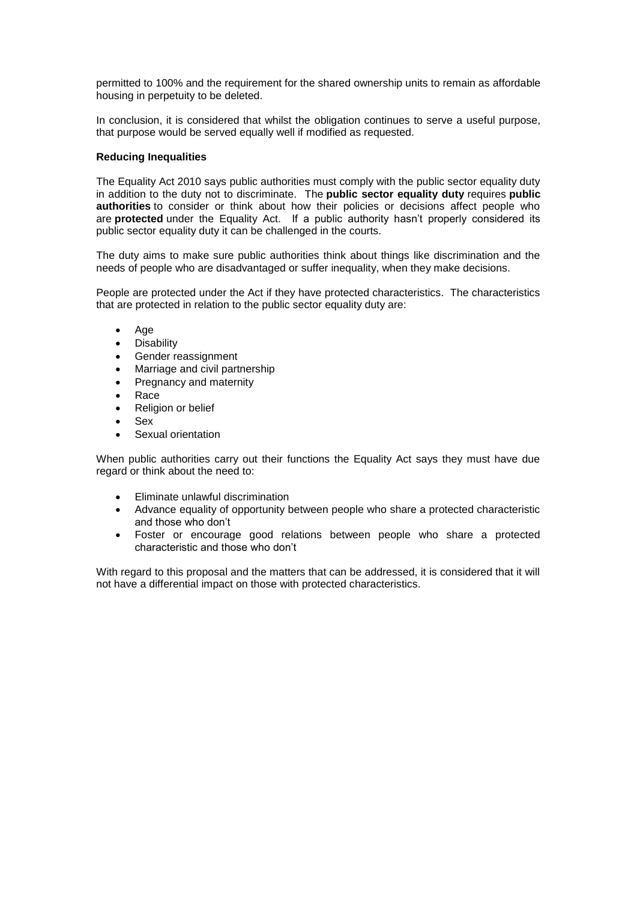permitted to 100% and the requirement for the shared ownership units to remain as affordable housing in perpetuity to be deleted.

In conclusion, it is considered that whilst the obligation continues to serve a useful purpose, that purpose would be served equally well if modified as requested.

### **Reducing Inequalities**

The Equality Act 2010 says public authorities must comply with the public sector equality duty in addition to the duty not to discriminate. The **public sector equality duty** requires **public authorities** to consider or think about how their policies or decisions affect people who are **protected** under the Equality Act. If a public authority hasn't properly considered its public sector equality duty it can be challenged in the courts.

The duty aims to make sure public authorities think about things like discrimination and the needs of people who are disadvantaged or suffer inequality, when they make decisions.

People are protected under the Act if they have protected characteristics. The characteristics that are protected in relation to the public sector equality duty are:

- Age
- **Disability**
- Gender reassignment
- Marriage and civil partnership
- Pregnancy and maternity
- Race
- Religion or belief
- Sex
- Sexual orientation

When public authorities carry out their functions the Equality Act says they must have due regard or think about the need to:

- Eliminate unlawful discrimination
- Advance equality of opportunity between people who share a protected characteristic and those who don't
- Foster or encourage good relations between people who share a protected characteristic and those who don't

With regard to this proposal and the matters that can be addressed, it is considered that it will not have a differential impact on those with protected characteristics.